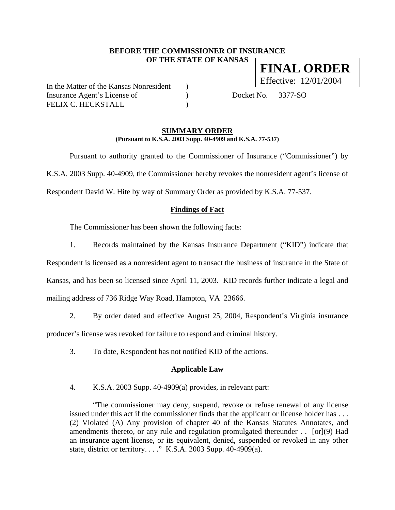### **BEFORE THE COMMISSIONER OF INSURANCE OF THE STATE OF KANSAS FINAL ORDER**

In the Matter of the Kansas Nonresident (a) Insurance Agent's License of (a) Docket No. 3377-SO FELIX C. HECKSTALL (1998)

Effective: 12/01/2004

#### **SUMMARY ORDER (Pursuant to K.S.A. 2003 Supp. 40-4909 and K.S.A. 77-537)**

 Pursuant to authority granted to the Commissioner of Insurance ("Commissioner") by K.S.A. 2003 Supp. 40-4909, the Commissioner hereby revokes the nonresident agent's license of Respondent David W. Hite by way of Summary Order as provided by K.S.A. 77-537.

## **Findings of Fact**

The Commissioner has been shown the following facts:

1. Records maintained by the Kansas Insurance Department ("KID") indicate that

Respondent is licensed as a nonresident agent to transact the business of insurance in the State of Kansas, and has been so licensed since April 11, 2003. KID records further indicate a legal and mailing address of 736 Ridge Way Road, Hampton, VA 23666.

2. By order dated and effective August 25, 2004, Respondent's Virginia insurance producer's license was revoked for failure to respond and criminal history.

3. To date, Respondent has not notified KID of the actions.

#### **Applicable Law**

4. K.S.A. 2003 Supp. 40-4909(a) provides, in relevant part:

"The commissioner may deny, suspend, revoke or refuse renewal of any license issued under this act if the commissioner finds that the applicant or license holder has . . . (2) Violated (A) Any provision of chapter 40 of the Kansas Statutes Annotates, and amendments thereto, or any rule and regulation promulgated thereunder . . [or](9) Had an insurance agent license, or its equivalent, denied, suspended or revoked in any other state, district or territory. . . ." K.S.A. 2003 Supp. 40-4909(a).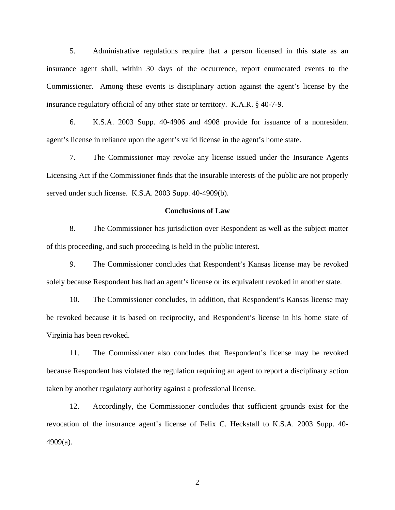5. Administrative regulations require that a person licensed in this state as an insurance agent shall, within 30 days of the occurrence, report enumerated events to the Commissioner. Among these events is disciplinary action against the agent's license by the insurance regulatory official of any other state or territory. K.A.R. § 40-7-9.

6. K.S.A. 2003 Supp. 40-4906 and 4908 provide for issuance of a nonresident agent's license in reliance upon the agent's valid license in the agent's home state.

7. The Commissioner may revoke any license issued under the Insurance Agents Licensing Act if the Commissioner finds that the insurable interests of the public are not properly served under such license. K.S.A. 2003 Supp. 40-4909(b).

#### **Conclusions of Law**

8. The Commissioner has jurisdiction over Respondent as well as the subject matter of this proceeding, and such proceeding is held in the public interest.

9. The Commissioner concludes that Respondent's Kansas license may be revoked solely because Respondent has had an agent's license or its equivalent revoked in another state.

10. The Commissioner concludes, in addition, that Respondent's Kansas license may be revoked because it is based on reciprocity, and Respondent's license in his home state of Virginia has been revoked.

11. The Commissioner also concludes that Respondent's license may be revoked because Respondent has violated the regulation requiring an agent to report a disciplinary action taken by another regulatory authority against a professional license.

12. Accordingly, the Commissioner concludes that sufficient grounds exist for the revocation of the insurance agent's license of Felix C. Heckstall to K.S.A. 2003 Supp. 40- 4909(a).

2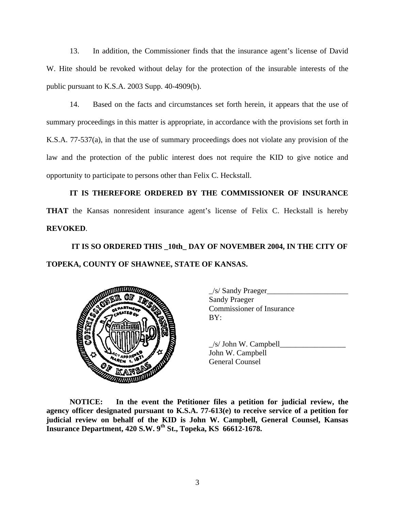13. In addition, the Commissioner finds that the insurance agent's license of David W. Hite should be revoked without delay for the protection of the insurable interests of the public pursuant to K.S.A. 2003 Supp. 40-4909(b).

14. Based on the facts and circumstances set forth herein, it appears that the use of summary proceedings in this matter is appropriate, in accordance with the provisions set forth in K.S.A. 77-537(a), in that the use of summary proceedings does not violate any provision of the law and the protection of the public interest does not require the KID to give notice and opportunity to participate to persons other than Felix C. Heckstall.

**IT IS THEREFORE ORDERED BY THE COMMISSIONER OF INSURANCE THAT** the Kansas nonresident insurance agent's license of Felix C. Heckstall is hereby **REVOKED**.

 **IT IS SO ORDERED THIS \_10th\_ DAY OF NOVEMBER 2004, IN THE CITY OF TOPEKA, COUNTY OF SHAWNEE, STATE OF KANSAS.** 



 \_/s/ Sandy Praeger\_\_\_\_\_\_\_\_\_\_\_\_\_\_\_\_\_\_\_\_\_ Sandy Praeger Commissioner of Insurance

 $/s/$  John W. Campbell John W. Campbell

**NOTICE: In the event the Petitioner files a petition for judicial review, the agency officer designated pursuant to K.S.A. 77-613(e) to receive service of a petition for judicial review on behalf of the KID is John W. Campbell, General Counsel, Kansas Insurance Department, 420 S.W. 9th St., Topeka, KS 66612-1678.**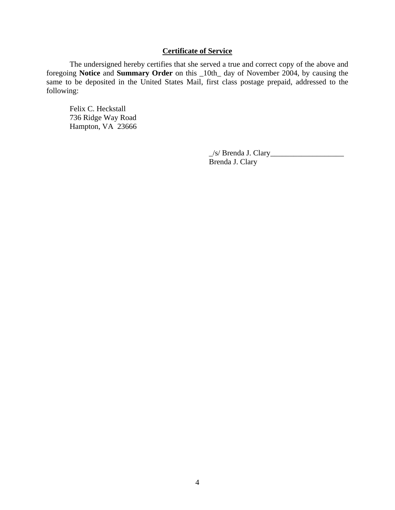## **Certificate of Service**

 The undersigned hereby certifies that she served a true and correct copy of the above and foregoing **Notice** and **Summary Order** on this \_10th\_ day of November 2004, by causing the same to be deposited in the United States Mail, first class postage prepaid, addressed to the following:

 Felix C. Heckstall 736 Ridge Way Road Hampton, VA 23666

> \_/s/ Brenda J. Clary\_\_\_\_\_\_\_\_\_\_\_\_\_\_\_\_\_\_\_ Brenda J. Clary